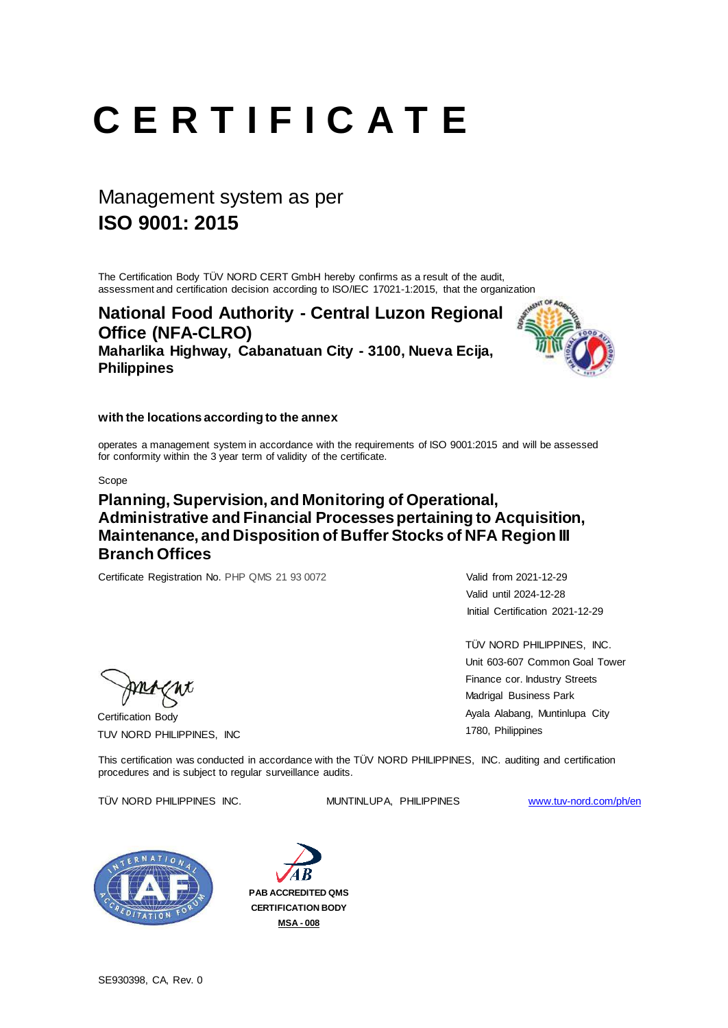Certification Body TUV NORD PHILIPPINES, INC TÜV NORD PHILIPPINES, INC. Unit 603-607 Common Goal Tower Finance cor. Industry Streets Madrigal Business Park Ayala Alabang, Muntinlupa City 1780, Philippines

operates a management system in accordance with the requirements of ISO 9001:2015 and will be assessed for conformity within the 3 year term of validity of the certificate.

# **C E R T I F I C A T E**

The Certification Body TÜV NORD CERT GmbH hereby confirms as a result of the audit, assessment and certification decision according to ISO/IEC 17021-1:2015, that the organization

Scope

Valid until 2024-12-28 Initial Certification 2021-12-29

## Management system as per **ISO 9001: 2015**

This certification was conducted in accordance with the TÜV NORD PHILIPPINES, INC. auditing and certification procedures and is subject to regular surveillance audits.

### procedured and ideal porter logalities for the

TÜV NORD PHILIPPINES INC. MUNTINLUPA, PHILIPPINES [www.tuv-nord.com/ph/en](http://www.tuv-nord.com/ph/en)





SE930398, CA, Rev. 0

**PAB ACCREDITED QMS CERTIFICATION BODY MSA - 008**

**National Food Authority - Central Luzon Regional Office (NFA-CLRO) Maharlika Highway, Cabanatuan City - 3100, Nueva Ecija, Philippines**



### **with the locations according to the annex**

### **Planning, Supervision, and Monitoring of Operational, Administrative and Financial Processes pertaining to Acquisition, Maintenance, and Disposition of Buffer Stocks of NFA Region III Branch Offices**

Certificate Registration No. PHP QMS 21 93 0072 Valid from 2021-12-29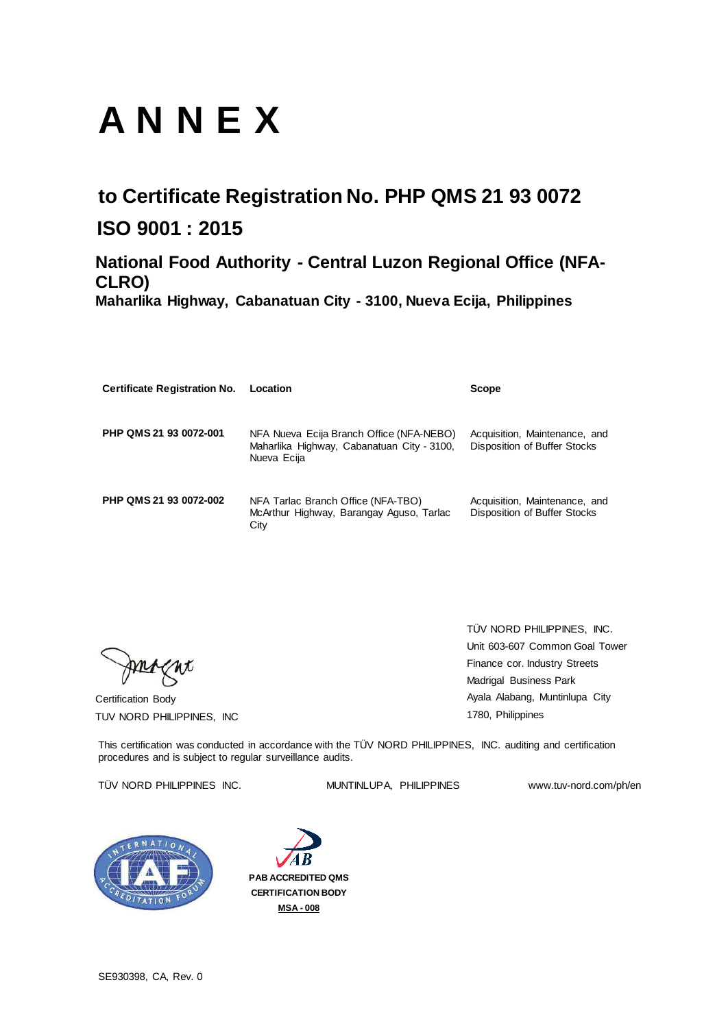Certification Body TUV NORD PHILIPPINES, INC

# **A N N E X**

| <b>Certificate Registration No.</b> | Location                                                                                              | <b>Scope</b>                                                         |
|-------------------------------------|-------------------------------------------------------------------------------------------------------|----------------------------------------------------------------------|
| PHP QMS 21 93 0072-001              | NFA Nueva Ecija Branch Office (NFA-NEBO)<br>Maharlika Highway, Cabanatuan City - 3100,<br>Nueva Ecija | Acquisition, Maintenance, and<br><b>Disposition of Buffer Stocks</b> |
| PHP QMS 21 93 0072-002              | NFA Tarlac Branch Office (NFA-TBO)<br>McArthur Highway, Barangay Aguso, Tarlac<br>City                | Acquisition, Maintenance, and<br>Disposition of Buffer Stocks        |

## **to Certificate Registration No. PHP QMS 21 93 0072 ISO 9001 : 2015**

This certification was conducted in accordance with the TÜV NORD PHILIPPINES, INC. auditing and certification procedures and is subject to regular surveillance audits.

### TÜV NORD PHILIPPINES INC. MUNTINLUPA, PHILIPPINES www.tuv-nord.com/ph/en



SE930398, CA, Rev. 0

## **National Food Authority - Central Luzon Regional Office (NFA-CLRO)**

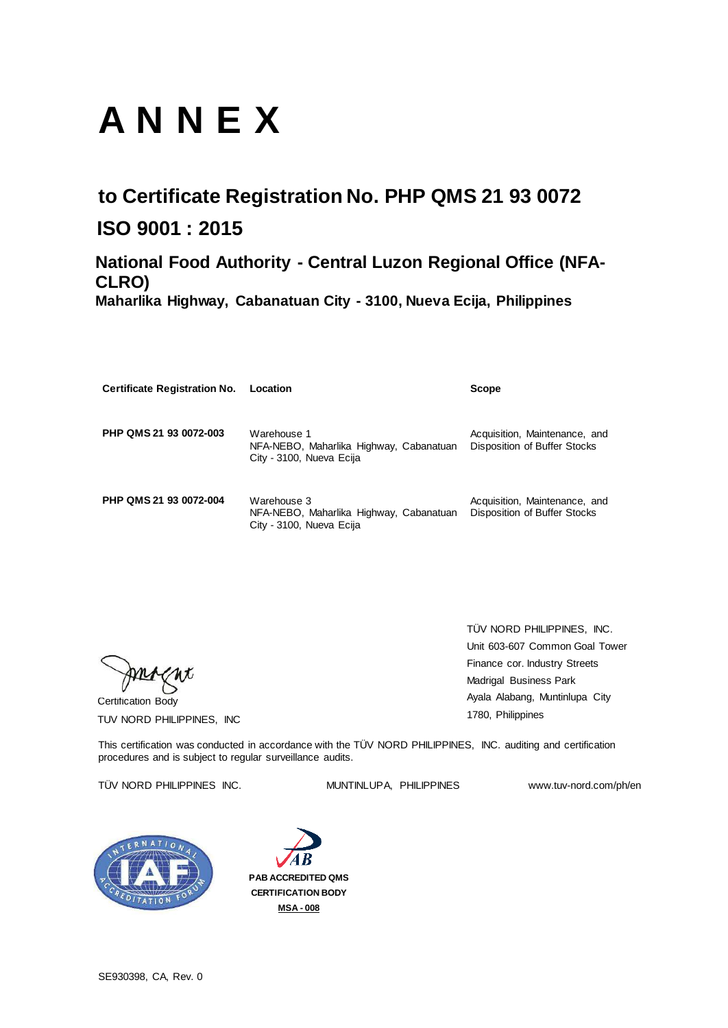Certification Body TUV NORD PHILIPPINES, INC

# **A N N E X**

| <b>Certificate Registration No.</b> | Location                                                                           | <b>Scope</b>                                                         |
|-------------------------------------|------------------------------------------------------------------------------------|----------------------------------------------------------------------|
| PHP QMS 21 93 0072-003              | Warehouse 1<br>NFA-NEBO, Maharlika Highway, Cabanatuan<br>City - 3100, Nueva Ecija | Acquisition, Maintenance, and<br>Disposition of Buffer Stocks        |
| PHP QMS 21 93 0072-004              | Warehouse 3<br>NFA-NEBO, Maharlika Highway, Cabanatuan<br>City - 3100, Nueva Ecija | Acquisition, Maintenance, and<br><b>Disposition of Buffer Stocks</b> |

## **to Certificate Registration No. PHP QMS 21 93 0072 ISO 9001 : 2015**

This certification was conducted in accordance with the TÜV NORD PHILIPPINES, INC. auditing and certification procedures and is subject to regular surveillance audits.

### TÜV NORD PHILIPPINES INC. MUNTINLUPA, PHILIPPINES www.tuv-nord.com/ph/en



SE930398, CA, Rev. 0

## **National Food Authority - Central Luzon Regional Office (NFA-CLRO)**

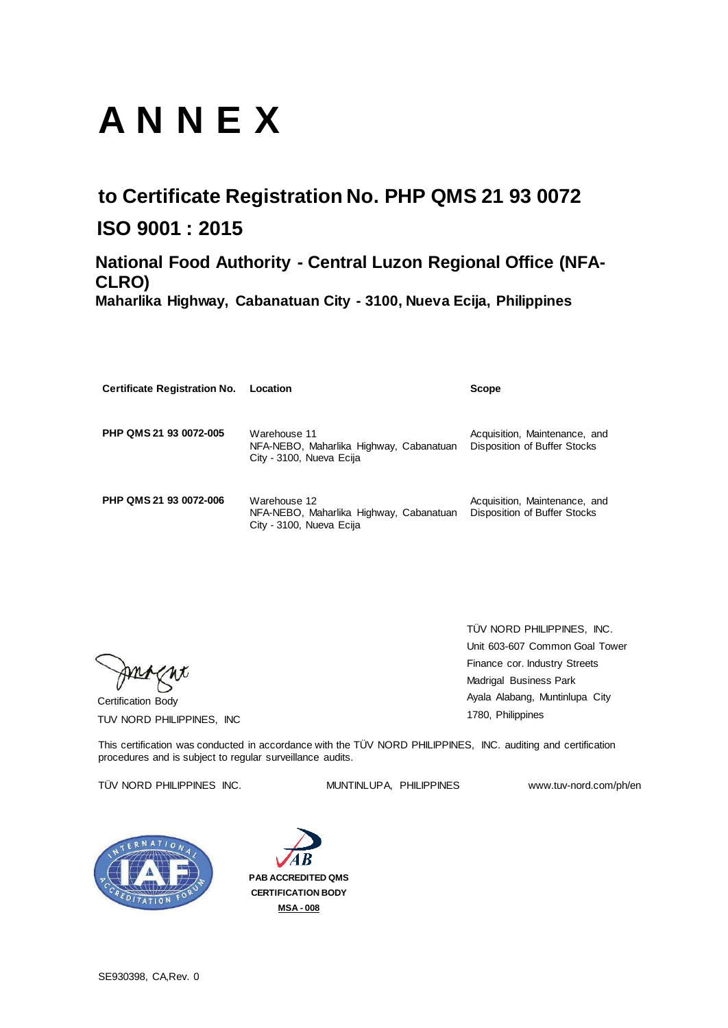Certification Body TUV NORD PHILIPPINES, INC

# **A N N E X**

| <b>Certificate Registration No.</b> | Location                                                                            | <b>Scope</b>                                                  |
|-------------------------------------|-------------------------------------------------------------------------------------|---------------------------------------------------------------|
| PHP QMS 21 93 0072-005              | Warehouse 11<br>NFA-NEBO, Maharlika Highway, Cabanatuan<br>City - 3100, Nueva Ecija | Acquisition, Maintenance, and<br>Disposition of Buffer Stocks |
| PHP QMS 21 93 0072-006              | Warehouse 12<br>NFA-NEBO, Maharlika Highway, Cabanatuan<br>City - 3100, Nueva Ecija | Acquisition, Maintenance, and<br>Disposition of Buffer Stocks |

## **to Certificate Registration No. PHP QMS 21 93 0072 ISO 9001 : 2015**

This certification was conducted in accordance with the TÜV NORD PHILIPPINES, INC. auditing and certification procedures and is subject to regular surveillance audits.

### TÜV NORD PHILIPPINES INC. MUNTINLUPA, PHILIPPINES www.tuv-nord.com/ph/en



SE930398, CA,Rev. 0

## **National Food Authority - Central Luzon Regional Office (NFA-CLRO)**

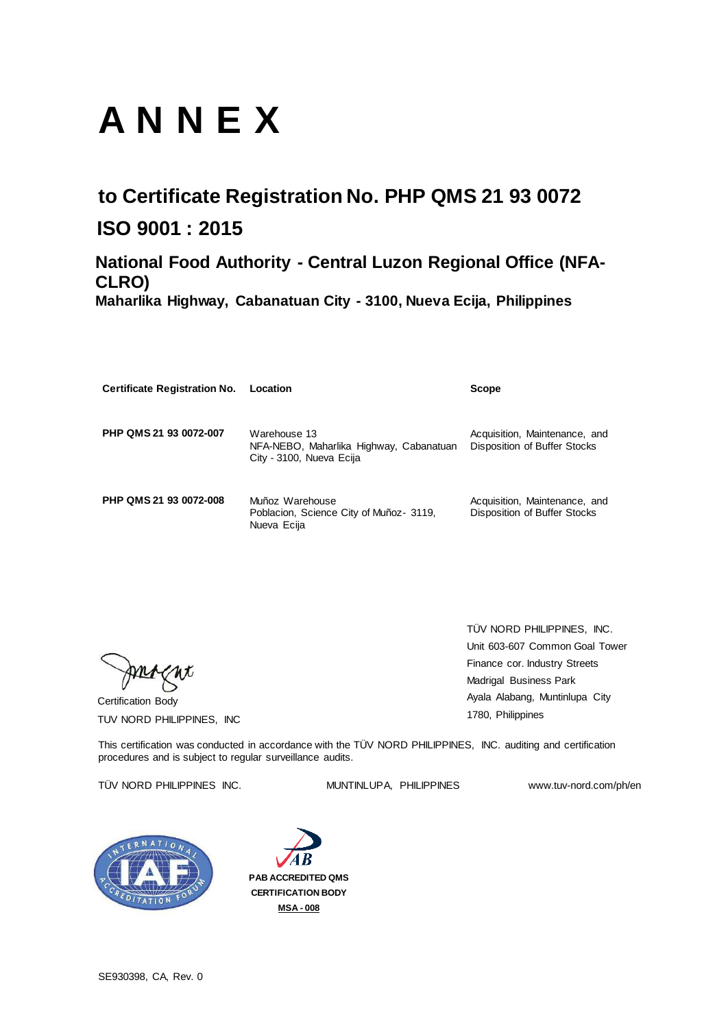Certification Body TUV NORD PHILIPPINES, INC

# **A N N E X**

| <b>Certificate Registration No.</b> | Location                                                                            | <b>Scope</b>                                                         |
|-------------------------------------|-------------------------------------------------------------------------------------|----------------------------------------------------------------------|
| PHP QMS 21 93 0072-007              | Warehouse 13<br>NFA-NEBO, Maharlika Highway, Cabanatuan<br>City - 3100, Nueva Ecija | Acquisition, Maintenance, and<br><b>Disposition of Buffer Stocks</b> |
| PHP QMS 21 93 0072-008              | Muñoz Warehouse<br>Poblacion, Science City of Muñoz- 3119,<br>Nueva Ecija           | Acquisition, Maintenance, and<br><b>Disposition of Buffer Stocks</b> |

## **to Certificate Registration No. PHP QMS 21 93 0072 ISO 9001 : 2015**

This certification was conducted in accordance with the TÜV NORD PHILIPPINES, INC. auditing and certification procedures and is subject to regular surveillance audits.

### TÜV NORD PHILIPPINES INC. MUNTINLUPA, PHILIPPINES www.tuv-nord.com/ph/en



SE930398, CA, Rev. 0

## **National Food Authority - Central Luzon Regional Office (NFA-CLRO)**

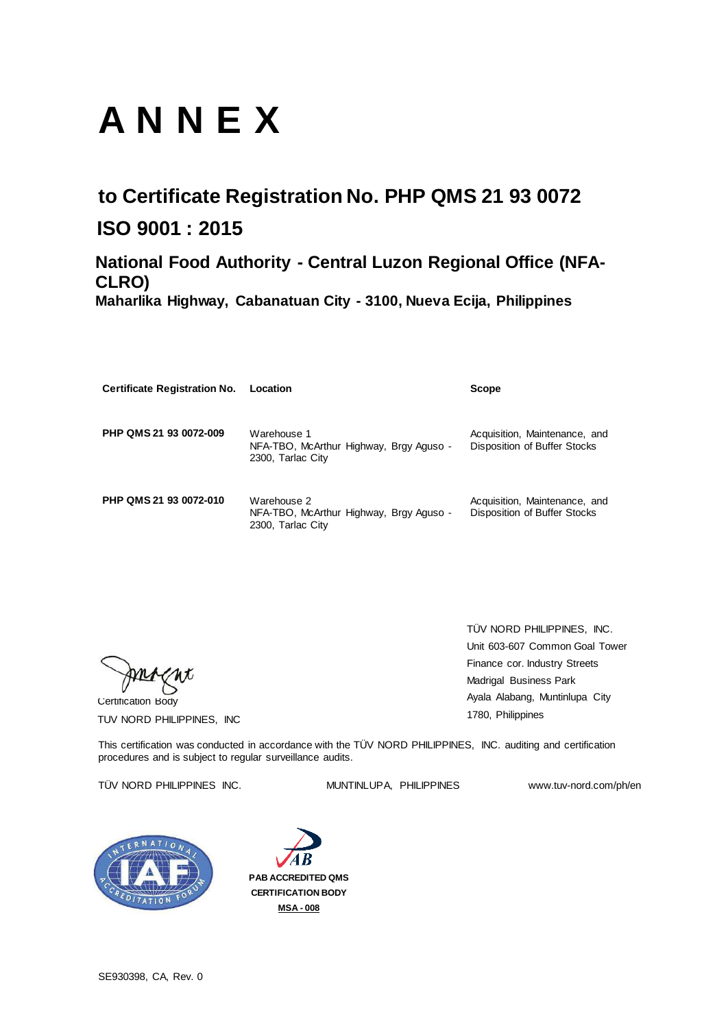Certification Body TUV NORD PHILIPPINES, INC

# **A N N E X**

| <b>Certificate Registration No.</b> | Location                                                                    | <b>Scope</b>                                                         |
|-------------------------------------|-----------------------------------------------------------------------------|----------------------------------------------------------------------|
| PHP QMS 21 93 0072-009              | Warehouse 1<br>NFA-TBO, McArthur Highway, Brgy Aguso -<br>2300, Tarlac City | Acquisition, Maintenance, and<br><b>Disposition of Buffer Stocks</b> |
| PHP QMS 21 93 0072-010              | Warehouse 2<br>NFA-TBO, McArthur Highway, Brgy Aguso -<br>2300, Tarlac City | Acquisition, Maintenance, and<br><b>Disposition of Buffer Stocks</b> |

## **to Certificate Registration No. PHP QMS 21 93 0072 ISO 9001 : 2015**

This certification was conducted in accordance with the TÜV NORD PHILIPPINES, INC. auditing and certification procedures and is subject to regular surveillance audits.

### TÜV NORD PHILIPPINES INC. MUNTINLUPA, PHILIPPINES www.tuv-nord.com/ph/en



SE930398, CA, Rev. 0

## **National Food Authority - Central Luzon Regional Office (NFA-CLRO)**

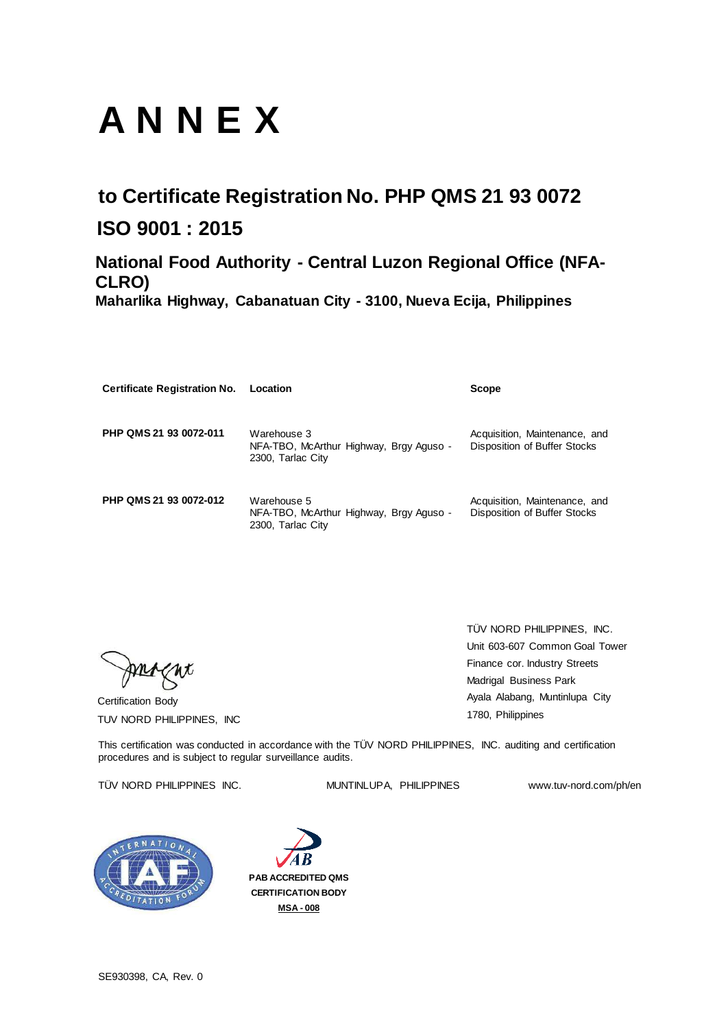Certification Body TUV NORD PHILIPPINES, INC

# **A N N E X**

| <b>Certificate Registration No.</b> | Location                                                                    | <b>Scope</b>                                                  |
|-------------------------------------|-----------------------------------------------------------------------------|---------------------------------------------------------------|
| PHP QMS 21 93 0072-011              | Warehouse 3<br>NFA-TBO, McArthur Highway, Brgy Aguso -<br>2300, Tarlac City | Acquisition, Maintenance, and<br>Disposition of Buffer Stocks |
| PHP QMS 21 93 0072-012              | Warehouse 5<br>NFA-TBO, McArthur Highway, Brgy Aguso -<br>2300, Tarlac City | Acquisition, Maintenance, and<br>Disposition of Buffer Stocks |

## **to Certificate Registration No. PHP QMS 21 93 0072 ISO 9001 : 2015**

This certification was conducted in accordance with the TÜV NORD PHILIPPINES, INC. auditing and certification procedures and is subject to regular surveillance audits.

### TÜV NORD PHILIPPINES INC. MUNTINLUPA, PHILIPPINES www.tuv-nord.com/ph/en



SE930398, CA, Rev. 0

## **National Food Authority - Central Luzon Regional Office (NFA-CLRO)**